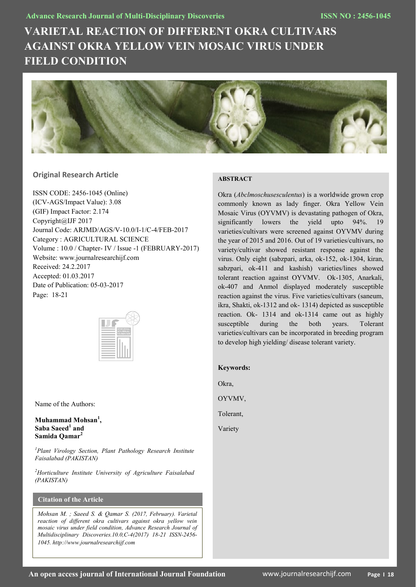# **VARIETAL REACTION OF DIFFERENT OKRA CULTIVARS AGAINST OKRA YELLOW VEIN MOSAIC VIRUS UNDER FIELD CONDITION**



# **Original Research Article**

ISSN CODE: 2456-1045 (Online) (ICV-AGS/Impact Value): 3.08 (GIF) Impact Factor: 2.174 Copyright@IJF 2017 Journal Code: ARJMD/AGS/V-10.0/I-1/C-4/FEB-2017 Category : AGRICULTURAL SCIENCE Volume : 10.0 / Chapter- IV / Issue -1 (FEBRUARY-2017) Website: www.journalresearchijf.com Received: 24.2.2017 Accepted: 01.03.2017 Date of Publication: 05-03-2017 Page: 18-21



Name of the Authors:

## **Muhammad Mohsan<sup>1</sup> , Saba Saeed<sup>1</sup> and Samida Qamar<sup>2</sup>**

*<sup>1</sup>Plant Virology Section, Plant Pathology Research Institute Faisalabad (PAKISTAN)*

*<sup>2</sup>Horticulture Institute University of Agriculture Faisalabad (PAKISTAN)*

# **Citation of the Article**

*Mohsan M. ; Saeed S. & Qamar S. (2017, February). Varietal reaction of different okra cultivars against okra yellow vein mosaic virus under field condition, Advance Research Journal of Multidisciplinary Discoveries.10.0,C-4(2017) 18-21 ISSN-2456- 1045. http://www.journalresearchijf.com***e;**

# **ABSTRACT**

Okra (*Abclmoschusesculentus*) is a worldwide grown crop commonly known as lady finger. Okra Yellow Vein Mosaic Virus (OYVMV) is devastating pathogen of Okra, significantly lowers the yield upto 94%. 19 varieties/cultivars were screened against OYVMV during the year of 2015 and 2016. Out of 19 varieties/cultivars, no variety/cultivar showed resistant response against the virus. Only eight (sabzpari, arka, ok-152, ok-1304, kiran, sabzpari, ok-411 and kashish) varieties/lines showed tolerant reaction against OYVMV. Ok-1305, Anarkali, ok-407 and Anmol displayed moderately susceptible reaction against the virus. Five varieties/cultivars (saneum, ikra, Shakti, ok-1312 and ok- 1314) depicted as susceptible reaction. Ok- 1314 and ok-1314 came out as highly susceptible during the both years. Tolerant varieties/cultivars can be incorporated in breeding program to develop high yielding/ disease tolerant variety.

## **Keywords:**

Okra,

OYVMV,

Tolerant,

Variety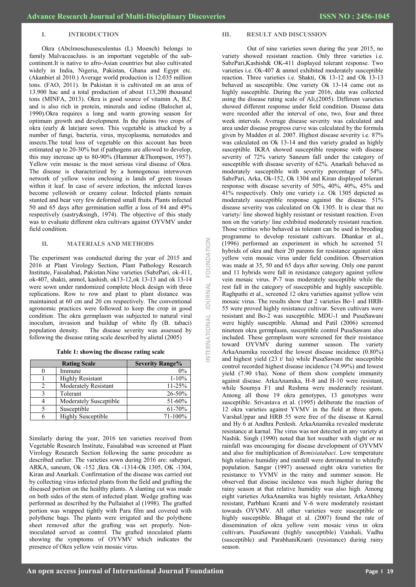## **I. INTRODUCTION**

Okra (Abclmoschusesculentus (L) Moench) belongs to family MalvaceaeJuss. is an important vegetable of the subcontinent.It is native to afro-Asian countries but also cultivated widely in India, Nigeria, Pakistan, Ghana and Egypt etc. (Akanbiet al 2010.) Average world production is 12.035 million tons. (FAO, 2011). In Pakistan it is cultivated on an area of 13.900 hac and a total production of about 113,200 thousand tons (MINFA, 2013). Okra is good source of vitamin A, B,C and is also rich in protein, minerals and iodine (Balochet al, 1990).Okra requires a long and warm growing season for optimum growth and development. In the plains two crops of okra (early & late)are sown. This vegetable is attacked by a number of fungi, bacteria, virus, mycoplasma, nematodes and insects.The total loss of vegetable on this account has been estimated up to 20-30% but if pathogens are allowed to develop, this may increase up to 80-90% (Hammer &Thompson, 1957). Yellow vein mosaic is the most serious viral disease of Okra. The disease is characterized by a homogenous interwoven network of yellow veins enclosing is lands of green tissues within it leaf. In case of severe infection, the infected leaves become yellowish or creamy colour. Infected plants remain stunted and bear very few deformed small fruits. Plants infected 50 and 65 days after germination suffer a loss of 84 and 49% respectively (sastry&singh, 1974). The objective of this study was to evaluate different okra cultivars against OYVMV under field condition.

## **II. MATERIALS AND METHODS**

The experiment was conducted during the year of 2015 and 2016 at Plant Virology Section, Plant Pathology Research Institute, Faisalabad, Pakistan.Nine varieties (SabzPari, ok-411, ok-407, shakti, anmol, kashish, ok13-12,ok 13-13 and ok 13-14 were sown under randomized complete block design with three replications. Row to row and plant to plant distance was maintained at 60 cm and 20 cm respectively. The conventional agronomic practices were followed to keep the crop in good condition. The okra germplasm was subjected to natural viral inoculum, invasion and buildup of white fly (B. tabaci) population density. The disease severity was assessed by following the disease rating scale described by alietal (2005)

| <b>Rating Scale</b> |                             | <b>Severity Range%</b> |  |
|---------------------|-----------------------------|------------------------|--|
|                     | Immune                      | 0%                     |  |
|                     | <b>Highly Resistant</b>     | $1 - 10\%$             |  |
| 2                   | <b>Moderately Resistant</b> | 11-25%                 |  |
| ζ                   | Tolerant                    | 26-50%                 |  |
|                     | Moderately Susceptible      | 51-60%                 |  |
|                     | Susceptible                 | 61-70%                 |  |
| 6                   | <b>Highly Susceptible</b>   | 71-100%                |  |

Similarly during the year, 2016 ten varieties received from Vegetable Research Institute, Faisalabad was screened at Plant Virology Research Section following the same procedure as described earlier. The varieties sown during 2016 are: sabzpari, ARKA, saneum, Ok -152 ,Ikra. Ok -1314-Ok 1305, OK -1304, Kiran and Anarkali. Confirmation of the disease was carried out by collecting virus infected plants from the field and grafting the diseased portion on the healthy plants. A slanting cut was made on both sides of the stem of infected plant. Wedge grafting was performed as described by the Pullaiahet al (1998). The grafted portion was wrapped tightly with Para film and covered with polythene bags. The plants were irrigated and the polythene sheet removed after the grafting was set properly. Noninoculated served as control. The grafted inoculated plants showing the symptoms of OYVMV which indicates the presence of Okra yellow vein mosaic virus.

## **III. RESULT AND DISCUSSION**

Out of nine varieties sown during the year 2015, no variety showed resistant reaction. Only three varieties i.e. SabzPari,Kashish& OK-411 displayed tolerant response. Two varieties i.e. Ok-407 & anmol exhibited moderately susceptible reaction. Three varieties i.e. Shakti, Ok 13-12 and Ok 13-13 behaved as susceptible. One variety Ok 13-14 came out as highly susceptible. During the year 2016, data was collected using the disease rating scale of Ali,(2005). Different varieties showed different response under field condition. Disease data were recorded after the interval of one, two, four and three week intervals. Average disease severity was calculated and area under disease progress curve was calculated by the formula given by Madden et al. 2007. Highest disease severity i.e. 87% was calculated on Ok 13-14 and this variety graded as highly susceptible. IKRA showed susceptible response with disease severity of 72% variety Saneum fall under the category of susceptible with disease severity of 62%. Anarkali behaved as moderately susceptible with severity percentage of 54%. SabzPari, Arka, Ok-152, Ok 1304 and Kiran displayed tolerant response with disease severity of 50%, 40%, 40%, 45% and 41% respectively. Only one variety i.e. Ok 1305 depicted as moderately susceptible response against the disease. 51% disease severity was calculated on Ok 1305. It is clear that no variety/ line showed highly resistant or resistant reaction. Even non on the variety/ line exhibited moderately resistant reaction. Those verities who behaved as tolerant can be used in breeding programme to develop resistant cultivars. Dhankar et al., (1996) performed an experiment in which he screened 51 hybrids of okra and their 20 parents for resistance against okra yellow vein mosaic virus under field condition. Observation was made at 35, 50 and 65 days after sowing. Only one parent and 11 hybrids were fall in resistance category against yellow vein mosaic virus. P-7 was moderately susceptible while the rest fall in the category of susceptible and highly susceptible. Raghpathi et al., screened 12 okra varieties against yellow vein mosaic virus. The results show that 2 varieties Bo-1 and HRB-55 were proved highly resistance cultivar. Seven cultivars were resistant and Bo-2 was susceptible. MDU-1 and PusaSawani were highly susceptible. Ahmad and Patil (2006) screened nineteen okra germplasm, susceptible control PusaSawani also included. These germplasm were screened for their resistance toward OYVMV during summer season. The variety ArkaAnamika recorded the lowest disease incidence (0.80%) and highest yield (23 t/ ha) while PusaSawani the susceptible control recorded highest disease incidence (74.99%) and lowest yield (7.90 t/ha). None of them show complete immunity against disease. ArkaAnamika, H-8 and H-10 were resistant, while Soumya F1 and Reshma were moderately resistant. Among all those 19 okra genotypes, 13 genotypes were susceptible. Srivastava et al. (1995) deliberate the reaction of 12 okra varieties against YVMV in the field at three spots. VarshaUppar and HRB 55 were free of the disease at Karnal and Hy 6 at Andhra Perdesh. ArkaAnamika revealed moderate resistance at karnal. The virus was not detected in any variety at Nashik. Singh (1990) noted that hot weather with slight or no rainfall was encouraging for disease development of OYVMV and also for multiplication of *Bemisiatabaci*. Low temperature high relative humidity and rainfall were detrimental to whitefly population. Sangar (1997) assessed eight okra varieties for resistance to YVMV in the rainy and summer season. He observed that disease incidence was much higher during the rainy season at that relative humidity was also high. Among eight varieties ArkaAnamika was highly resistant, ArkaAbhey resistant, Parbhani Kranti and V-6 were moderately resistant towards OYVMV. All other varieties were susceptible or highly susceptible. Bhagat et al. (2007) found the rate of dissemination of okra yellow vein mosaic virus in okra cultivars. PusaSawani (highly susceptible) Vaishali, Vadhu (susceptible) and ParabhaniKranti (resistance) during rainy season.

**INTERNATIONAL JOURNAL FOUNDATION**

NTERNATIONAL

**JOURNAL** 

FOUNDATION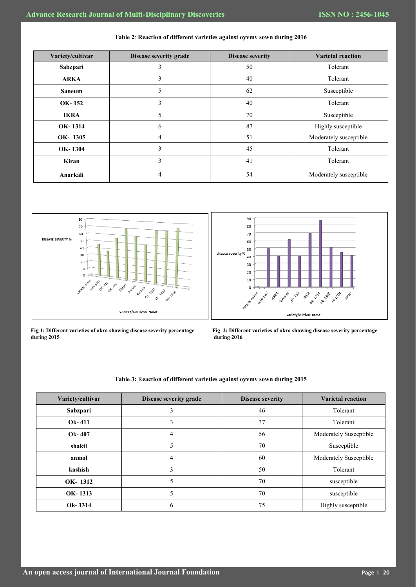| Variety/cultivar | Disease severity grade | <b>Disease severity</b> | <b>Varietal reaction</b> |
|------------------|------------------------|-------------------------|--------------------------|
| Sabzpari         | 3                      | 50                      | Tolerant                 |
| <b>ARKA</b>      | 3                      | 40                      | Tolerant                 |
| <b>Saneum</b>    | 5                      | 62                      | Susceptible              |
| OK-152           | 3                      | 40                      | Tolerant                 |
| <b>IKRA</b>      | 5                      | 70                      | Susceptible              |
| OK-1314          | 6                      | 87                      | Highly susceptible       |
| OK-1305          | 4                      | 51                      | Moderately susceptible   |
| OK-1304          | 3                      | 45                      | Tolerant                 |
| Kiran            | 3                      | 41                      | Tolerant                 |
| Anarkali         | 4                      | 54                      | Moderately susceptible   |





**during 2015 during 2016** 





| Variety/cultivar | Disease severity grade | <b>Disease severity</b> | <b>Varietal reaction</b> |
|------------------|------------------------|-------------------------|--------------------------|
| Sabzpari         |                        | 46                      | Tolerant                 |
| Ok-411           | 3                      | 37                      | Tolerant                 |
| Ok-407           | 4                      | 56                      | Moderately Susceptible   |
| shakti           |                        | 70                      | Susceptible              |
| anmol            | 4                      | 60                      | Moderately Susceptible   |
| kashish          | 3                      | 50                      | Tolerant                 |
| OK-1312          |                        | 70                      | susceptible              |
| OK-1313          |                        | 70                      | susceptible              |
| Ok-1314          | 6                      | 75                      | Highly susceptible       |

## **Table 3:** R**eaction of different varieties against oyvmv sown during 2015**